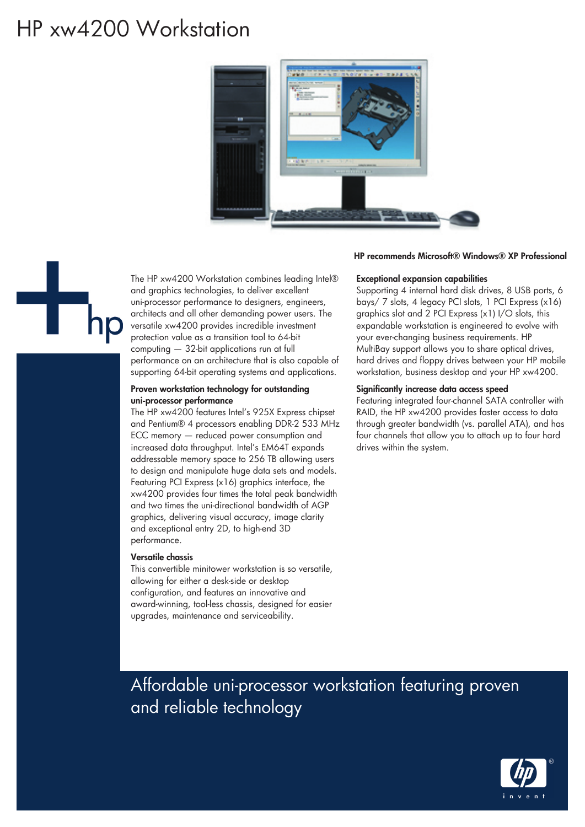# HP xw4200 Workstation



# HP recommends Microsoft® Windows® XP Professional



The HP xw4200 Workstation combines leading Intel® and graphics technologies, to deliver excellent uni-processor performance to designers, engineers, architects and all other demanding power users. The versatile xw4200 provides incredible investment protection value as a transition tool to 64-bit computing — 32-bit applications run at full performance on an architecture that is also capable of supporting 64-bit operating systems and applications.

### Proven workstation technology for outstanding uni-processor performance

The HP xw4200 features Intel's 925X Express chipset and Pentium® 4 processors enabling DDR-2 533 MHz ECC memory — reduced power consumption and increased data throughput. Intel's EM64T expands addressable memory space to 256 TB allowing users to design and manipulate huge data sets and models. Featuring PCI Express (x16) graphics interface, the xw4200 provides four times the total peak bandwidth and two times the uni-directional bandwidth of AGP graphics, delivering visual accuracy, image clarity and exceptional entry 2D, to high-end 3D performance.

## Versatile chassis

This convertible minitower workstation is so versatile, allowing for either a desk-side or desktop configuration, and features an innovative and award-winning, tool-less chassis, designed for easier upgrades, maintenance and serviceability.

#### Exceptional expansion capabilities

Supporting 4 internal hard disk drives, 8 USB ports, 6 bays/ 7 slots, 4 legacy PCI slots, 1 PCI Express (x16) graphics slot and 2 PCI Express (x1) I/O slots, this expandable workstation is engineered to evolve with your ever-changing business requirements. HP MultiBay support allows you to share optical drives, hard drives and floppy drives between your HP mobile workstation, business desktop and your HP xw4200.

#### Significantly increase data access speed

Featuring integrated four-channel SATA controller with RAID, the HP xw4200 provides faster access to data through greater bandwidth (vs. parallel ATA), and has four channels that allow you to attach up to four hard drives within the system.

# Affordable uni-processor workstation featuring proven and reliable technology